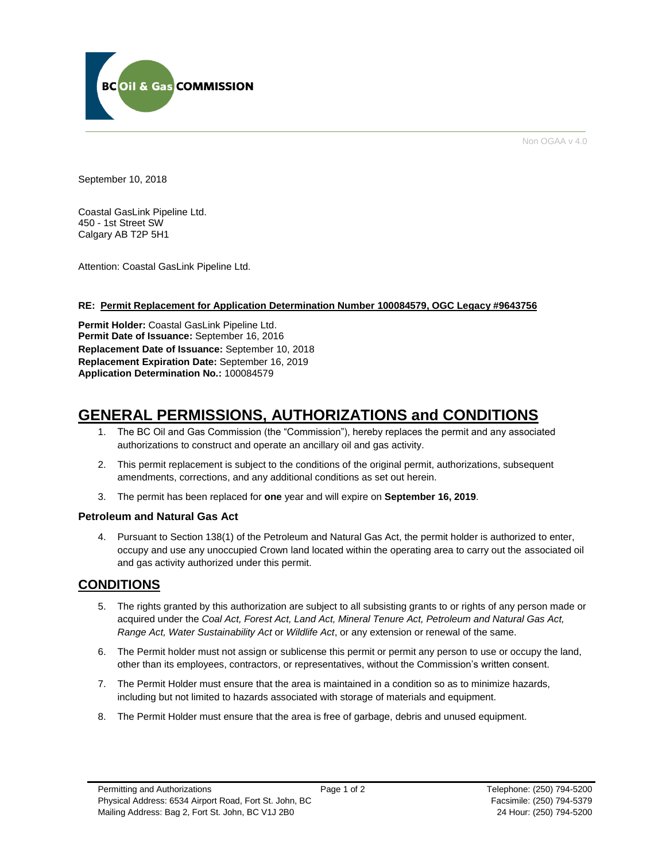

Non OGAA v 4.0

September 10, 2018

Coastal GasLink Pipeline Ltd. 450 - 1st Street SW Calgary AB T2P 5H1

Attention: Coastal GasLink Pipeline Ltd.

# **RE: Permit Replacement for Application Determination Number 100084579, OGC Legacy #9643756**

**Permit Holder:** Coastal GasLink Pipeline Ltd. **Permit Date of Issuance:** September 16, 2016 **Replacement Date of Issuance:** September 10, 2018 **Replacement Expiration Date:** September 16, 2019 **Application Determination No.:** 100084579

# **GENERAL PERMISSIONS, AUTHORIZATIONS and CONDITIONS**

- 1. The BC Oil and Gas Commission (the "Commission"), hereby replaces the permit and any associated authorizations to construct and operate an ancillary oil and gas activity.
- 2. This permit replacement is subject to the conditions of the original permit, authorizations, subsequent amendments, corrections, and any additional conditions as set out herein.
- 3. The permit has been replaced for **one** year and will expire on **September 16, 2019**.

# **Petroleum and Natural Gas Act**

4. Pursuant to Section 138(1) of the Petroleum and Natural Gas Act, the permit holder is authorized to enter, occupy and use any unoccupied Crown land located within the operating area to carry out the associated oil and gas activity authorized under this permit.

# **CONDITIONS**

- 5. The rights granted by this authorization are subject to all subsisting grants to or rights of any person made or acquired under the *Coal Act, Forest Act, Land Act, Mineral Tenure Act, Petroleum and Natural Gas Act, Range Act, Water Sustainability Act* or *Wildlife Act*, or any extension or renewal of the same.
- 6. The Permit holder must not assign or sublicense this permit or permit any person to use or occupy the land, other than its employees, contractors, or representatives, without the Commission's written consent.
- 7. The Permit Holder must ensure that the area is maintained in a condition so as to minimize hazards, including but not limited to hazards associated with storage of materials and equipment.
- 8. The Permit Holder must ensure that the area is free of garbage, debris and unused equipment.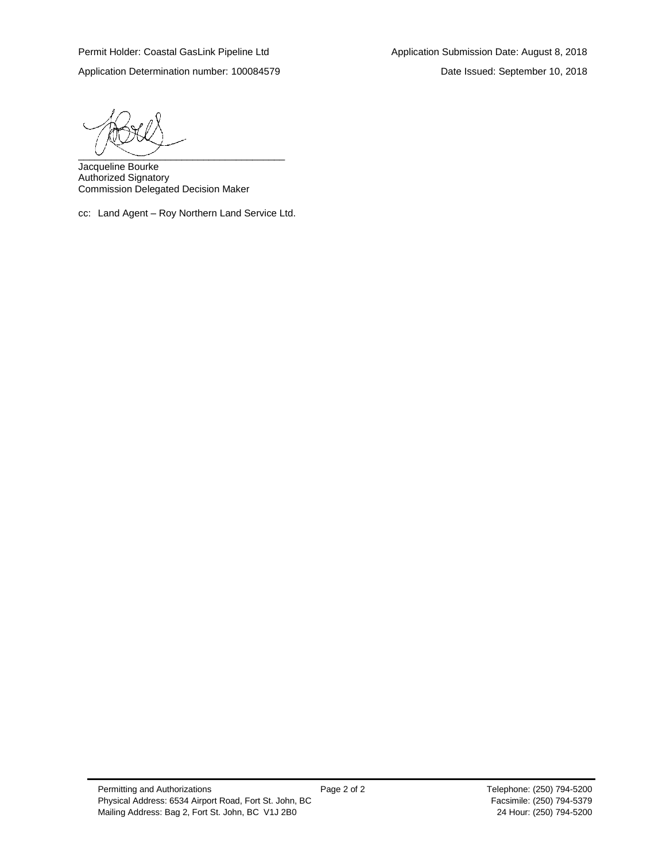$\overline{\phantom{a}}$   $\overline{\phantom{a}}$   $\overline{\phantom{a}}$   $\overline{\phantom{a}}$   $\overline{\phantom{a}}$   $\overline{\phantom{a}}$   $\overline{\phantom{a}}$   $\overline{\phantom{a}}$   $\overline{\phantom{a}}$   $\overline{\phantom{a}}$   $\overline{\phantom{a}}$   $\overline{\phantom{a}}$   $\overline{\phantom{a}}$   $\overline{\phantom{a}}$   $\overline{\phantom{a}}$   $\overline{\phantom{a}}$   $\overline{\phantom{a}}$   $\overline{\phantom{a}}$   $\overline{\$ 

Jacqueline Bourke Authorized Signatory Commission Delegated Decision Maker

cc: Land Agent – Roy Northern Land Service Ltd.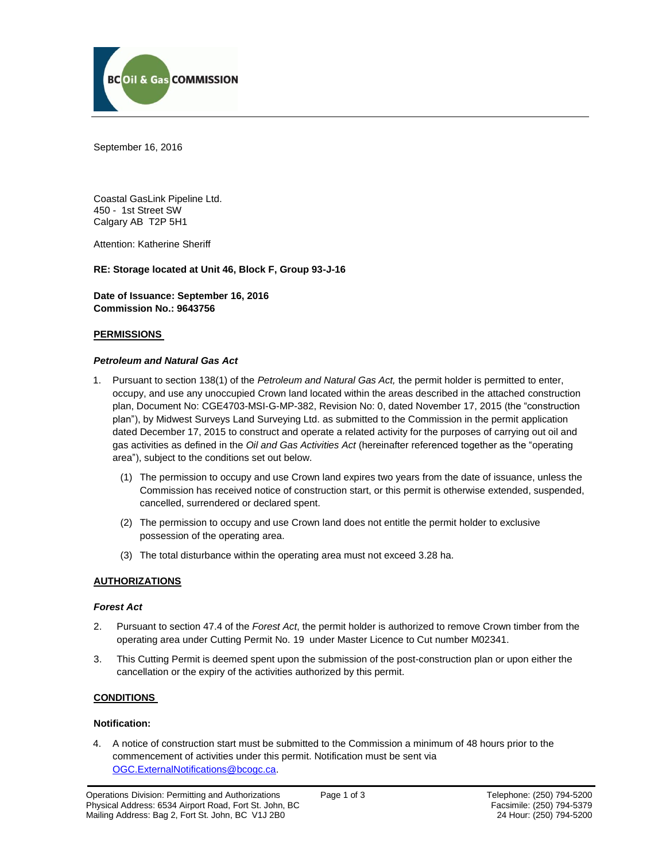

September 16, 2016

Coastal GasLink Pipeline Ltd. 450 - 1st Street SW Calgary AB T2P 5H1

Attention: Katherine Sheriff

# **RE: Storage located at Unit 46, Block F, Group 93-J-16**

**Date of Issuance: September 16, 2016 Commission No.: 9643756**

#### **PERMISSIONS**

#### *Petroleum and Natural Gas Act*

- 1. Pursuant to section 138(1) of the *Petroleum and Natural Gas Act,* the permit holder is permitted to enter, occupy, and use any unoccupied Crown land located within the areas described in the attached construction plan, Document No: CGE4703-MSI-G-MP-382, Revision No: 0, dated November 17, 2015 (the "construction plan"), by Midwest Surveys Land Surveying Ltd. as submitted to the Commission in the permit application dated December 17, 2015 to construct and operate a related activity for the purposes of carrying out oil and gas activities as defined in the *Oil and Gas Activities Act* (hereinafter referenced together as the "operating area"), subject to the conditions set out below.
	- (1) The permission to occupy and use Crown land expires two years from the date of issuance, unless the Commission has received notice of construction start, or this permit is otherwise extended, suspended, cancelled, surrendered or declared spent.
	- (2) The permission to occupy and use Crown land does not entitle the permit holder to exclusive possession of the operating area.
	- (3) The total disturbance within the operating area must not exceed 3.28 ha.

# **AUTHORIZATIONS**

#### *Forest Act*

- 2. Pursuant to section 47.4 of the *Forest Act*, the permit holder is authorized to remove Crown timber from the operating area under Cutting Permit No. 19 under Master Licence to Cut number M02341.
- 3. This Cutting Permit is deemed spent upon the submission of the post-construction plan or upon either the cancellation or the expiry of the activities authorized by this permit.

#### **CONDITIONS**

#### **Notification:**

4. A notice of construction start must be submitted to the Commission a minimum of 48 hours prior to the commencement of activities under this permit. Notification must be sent via [OGC.ExternalNotifications@bcogc.ca.](mailto:OGC.ExternalNotifications@bcogc.ca)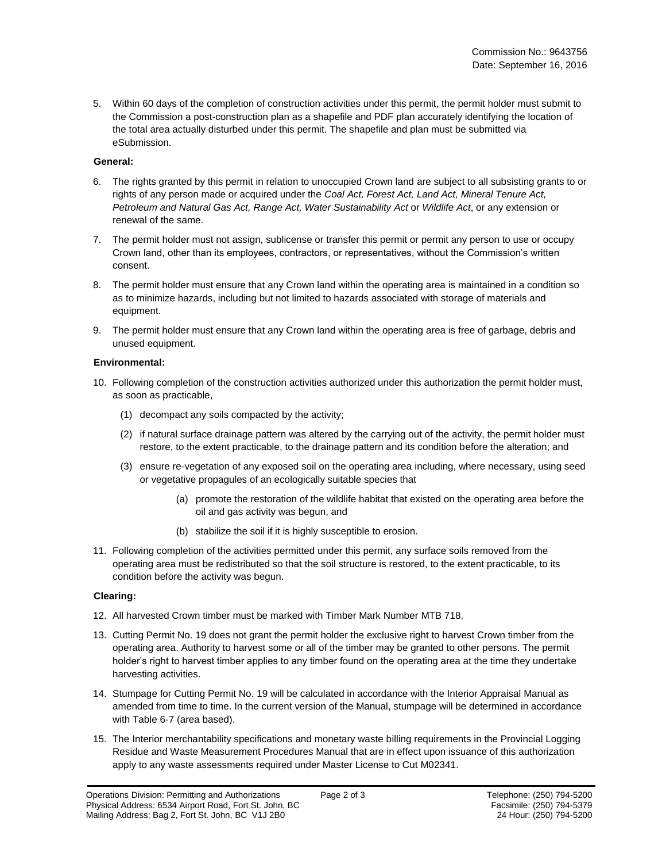5. Within 60 days of the completion of construction activities under this permit, the permit holder must submit to the Commission a post-construction plan as a shapefile and PDF plan accurately identifying the location of the total area actually disturbed under this permit. The shapefile and plan must be submitted via eSubmission.

#### **General:**

- 6. The rights granted by this permit in relation to unoccupied Crown land are subject to all subsisting grants to or rights of any person made or acquired under the *Coal Act, Forest Act, Land Act, Mineral Tenure Act, Petroleum and Natural Gas Act, Range Act, Water Sustainability Act* or *Wildlife Act*, or any extension or renewal of the same.
- 7. The permit holder must not assign, sublicense or transfer this permit or permit any person to use or occupy Crown land, other than its employees, contractors, or representatives, without the Commission's written consent.
- 8. The permit holder must ensure that any Crown land within the operating area is maintained in a condition so as to minimize hazards, including but not limited to hazards associated with storage of materials and equipment.
- 9. The permit holder must ensure that any Crown land within the operating area is free of garbage, debris and unused equipment.

### **Environmental:**

- 10. Following completion of the construction activities authorized under this authorization the permit holder must, as soon as practicable,
	- (1) decompact any soils compacted by the activity;
	- (2) if natural surface drainage pattern was altered by the carrying out of the activity, the permit holder must restore, to the extent practicable, to the drainage pattern and its condition before the alteration; and
	- (3) ensure re-vegetation of any exposed soil on the operating area including, where necessary, using seed or vegetative propagules of an ecologically suitable species that
		- (a) promote the restoration of the wildlife habitat that existed on the operating area before the oil and gas activity was begun, and
		- (b) stabilize the soil if it is highly susceptible to erosion.
- 11. Following completion of the activities permitted under this permit, any surface soils removed from the operating area must be redistributed so that the soil structure is restored, to the extent practicable, to its condition before the activity was begun.

# **Clearing:**

- 12. All harvested Crown timber must be marked with Timber Mark Number MTB 718.
- 13. Cutting Permit No. 19 does not grant the permit holder the exclusive right to harvest Crown timber from the operating area. Authority to harvest some or all of the timber may be granted to other persons. The permit holder's right to harvest timber applies to any timber found on the operating area at the time they undertake harvesting activities.
- 14. Stumpage for Cutting Permit No. 19 will be calculated in accordance with the Interior Appraisal Manual as amended from time to time. In the current version of the Manual, stumpage will be determined in accordance with Table 6-7 (area based).
- 15. The Interior merchantability specifications and monetary waste billing requirements in the Provincial Logging Residue and Waste Measurement Procedures Manual that are in effect upon issuance of this authorization apply to any waste assessments required under Master License to Cut M02341.